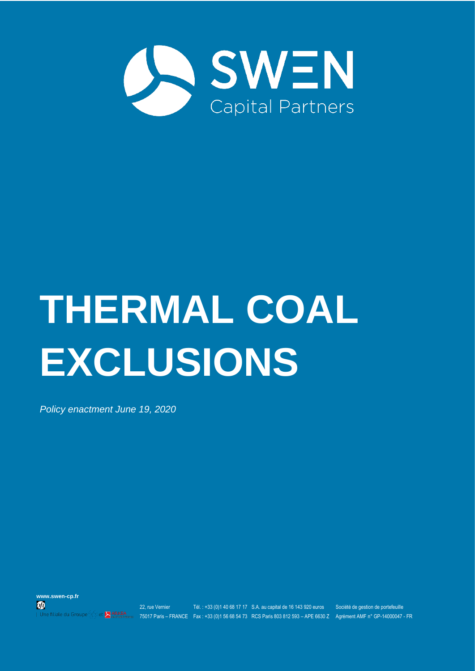

# **THERMAL COAL EXCLUSIONS**

*Policy enactment June 19, 2020*





22, rue Vernier Tél. : +33 (0)1 40 68 17 17 S.A. au capital de 16 143 920 euros Société de gestion de portefeuille 75017 Paris – FRANCE Fax : +33 (0)1 56 68 54 73 RCS Paris 803 812 593 – APE 6630 Z Agrément AMF n° GP-14000047 - FR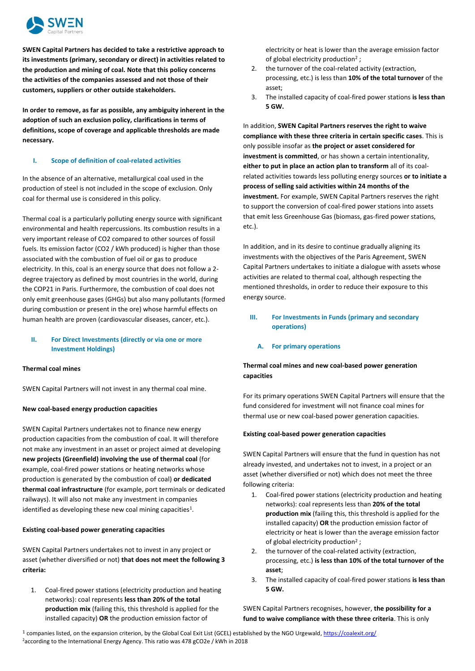

**SWEN Capital Partners has decided to take a restrictive approach to its investments (primary, secondary or direct) in activities related to the production and mining of coal. Note that this policy concerns the activities of the companies assessed and not those of their customers, suppliers or other outside stakeholders.**

**In order to remove, as far as possible, any ambiguity inherent in the adoption of such an exclusion policy, clarifications in terms of definitions, scope of coverage and applicable thresholds are made necessary.**

# **I. Scope of definition of coal-related activities**

In the absence of an alternative, metallurgical coal used in the production of steel is not included in the scope of exclusion. Only coal for thermal use is considered in this policy.

Thermal coal is a particularly polluting energy source with significant environmental and health repercussions. Its combustion results in a very important release of CO2 compared to other sources of fossil fuels. Its emission factor (CO2 / kWh produced) is higher than those associated with the combustion of fuel oil or gas to produce electricity. In this, coal is an energy source that does not follow a 2 degree trajectory as defined by most countries in the world, during the COP21 in Paris. Furthermore, the combustion of coal does not only emit greenhouse gases (GHGs) but also many pollutants (formed during combustion or present in the ore) whose harmful effects on human health are proven (cardiovascular diseases, cancer, etc.).

# **II. For Direct Investments (directly or via one or more Investment Holdings)**

# **Thermal coal mines**

SWEN Capital Partners will not invest in any thermal coal mine.

# **New coal-based energy production capacities**

SWEN Capital Partners undertakes not to finance new energy production capacities from the combustion of coal. It will therefore not make any investment in an asset or project aimed at developing **new projects (Greenfield) involving the use of thermal coal** (for example, coal-fired power stations or heating networks whose production is generated by the combustion of coal) **or dedicated thermal coal infrastructure** (for example, port terminals or dedicated railways). It will also not make any investment in companies identified as developing these new coal mining capacities<sup>1</sup>.

# **Existing coal-based power generating capacities**

SWEN Capital Partners undertakes not to invest in any project or asset (whether diversified or not) **that does not meet the following 3 criteria:** 

1. Coal-fired power stations (electricity production and heating networks): coal represents **less than 20% of the total production mix** (failing this, this threshold is applied for the installed capacity) **OR** the production emission factor of

electricity or heat is lower than the average emission factor of global electricity production<sup>2</sup>;

- 2. the turnover of the coal-related activity (extraction, processing, etc.) is less than **10% of the total turnover** of the asset;
- 3. The installed capacity of coal-fired power stations **is less than 5 GW.**

In addition, **SWEN Capital Partners reserves the right to waive compliance with these three criteria in certain specific cases**. This is only possible insofar as **the project or asset considered for investment is committed**, or has shown a certain intentionality, **either to put in place an action plan to transform** all of its coalrelated activities towards less polluting energy sources **or to initiate a process of selling said activities within 24 months of the investment.** For example, SWEN Capital Partners reserves the right to support the conversion of coal-fired power stations into assets that emit less Greenhouse Gas (biomass, gas-fired power stations, etc.).

In addition, and in its desire to continue gradually aligning its investments with the objectives of the Paris Agreement, SWEN Capital Partners undertakes to initiate a dialogue with assets whose activities are related to thermal coal, although respecting the mentioned thresholds, in order to reduce their exposure to this energy source.

# **III. For Investments in Funds (primary and secondary operations)**

# **A. For primary operations**

# **Thermal coal mines and new coal-based power generation capacities**

For its primary operations SWEN Capital Partners will ensure that the fund considered for investment will not finance coal mines for thermal use or new coal-based power generation capacities.

# **Existing coal-based power generation capacities**

SWEN Capital Partners will ensure that the fund in question has not already invested, and undertakes not to invest, in a project or an asset (whether diversified or not) which does not meet the three following criteria:

- 1. Coal-fired power stations (electricity production and heating networks): coal represents less than **20% of the total production mix** (failing this, this threshold is applied for the installed capacity) **OR** the production emission factor of electricity or heat is lower than the average emission factor of global electricity production<sup>2</sup>;
- 2. the turnover of the coal-related activity (extraction, processing, etc.) **is less than 10% of the total turnover of the asset**;
- 3. The installed capacity of coal-fired power stations **is less than 5 GW.**

SWEN Capital Partners recognises, however, **the possibility for a fund to waive compliance with these three criteria**. This is only

<sup>1</sup> companies listed, on the expansion criterion, by the Global Coal Exit List (GCEL) established by the NGO Urgewald[, https://coalexit.org/](https://coalexit.org/) <sup>2</sup>according to the International Energy Agency. This ratio was 478 gCO2e / kWh in 2018